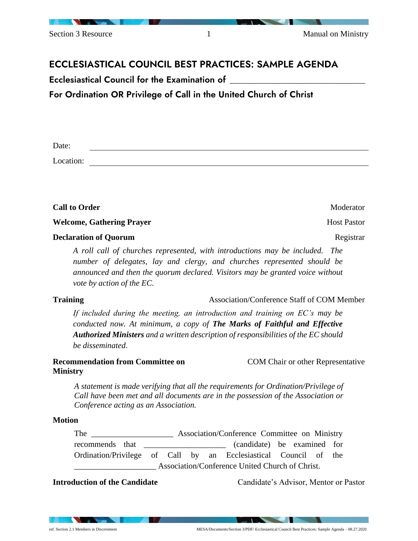

# ECCLESIASTICAL COUNCIL BEST PRACTICES: SAMPLE AGENDA

Ecclesiastical Council for the Examination of  $\_$ 

For Ordination OR Privilege of Call in the United Church of Christ

Date:

Location:

**Call to Order** Moderator **Moderator** Moderator

**Welcome, Gathering Prayer Host Pastor Host Pastor Host Pastor** 

# **Declaration of Quorum** Registrar Registrar

*A roll call of churches represented, with introductions may be included. The number of delegates, lay and clergy, and churches represented should be announced and then the quorum declared. Visitors may be granted voice without vote by action of the EC.*

**Training** Association/Conference Staff of COM Member

*If included during the meeting, an introduction and training on EC's may be conducted now. At minimum, a copy of The Marks of Faithful and Effective Authorized Ministers and a written description of responsibilities of the EC should be disseminated*.

**Recommendation from Committee on Ministry** COM Chair or other Representative

*A statement is made verifying that all the requirements for Ordination/Privilege of Call have been met and all documents are in the possession of the Association or Conference acting as an Association.*

# **Motion**

The **Association/Conference Committee on Ministry** recommends that the canonical candidate) be examined for Ordination/Privilege of Call by an Ecclesiastical Council of the Association/Conference United Church of Christ.

**Introduction of the Candidate** Candidate's Advisor, Mentor or Pastor

 $\sim$   $\sim$   $\sim$   $\sim$   $\sim$